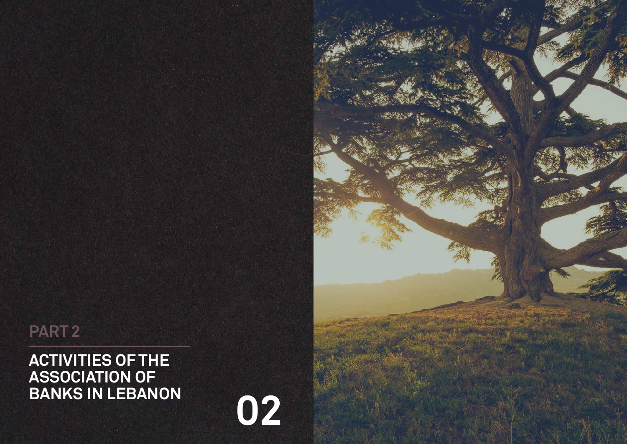## **ACTIVITIES OF THE ASSOCIATION OF BANKS IN LEBANON**

# **PART 2**

**02**

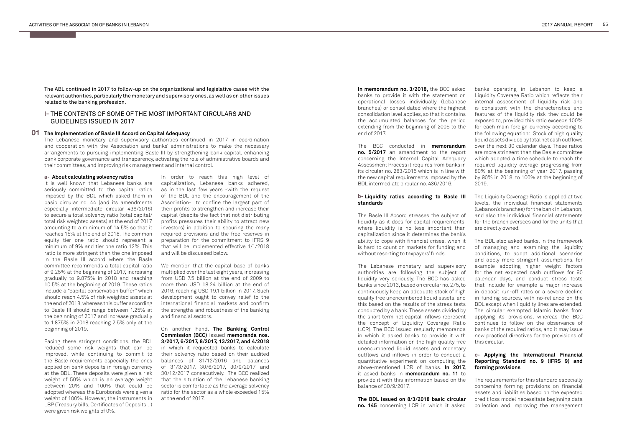## **I-** THE CONTENTS OF SOME OF THE MOST IMPORTANT CIRCULARS AND GUIDELINES ISSUED IN 2017

The ABL continued in 2017 to follow-up on the organizational and legislative cases with the relevant authorities, particularly the monetary and supervisory ones, as well as on other issues related to the banking profession.

## **The Implementation of Basle III Accord on Capital Adequacy 01**

The Lebanese monetary and supervisory authorities continued in 2017 in coordination and cooperation with the Association and banks' administrations to make the necessary arrangements to pursuing implementing Basle III by strengthening bank capital, enhancing bank corporate governance and transparency, activating the role of administrative boards and their committees, and improving risk management and internal control.

### **a- About calculating solvency ratios**

It is well known that Lebanese banks are seriously committed to the capital ratios imposed by the BDL which asked them in basic circular no. 44 (and its amendments especially intermediate circular 436/2016) to secure a total solvency ratio (total capital/ total risk weighted assets) at the end of 2017 amounting to a minimum of 14.5% so that it reaches 15% at the end of 2018. The common equity tier one ratio should represent a minimum of 9% and tier one ratio 12%. This ratio is more stringent than the one imposed in the Basle III accord where the Basle committee recommends a total capital ratio of 9.25% at the beginning of 2017, increasing gradually to 9.875% in 2018 and reaching 10.5% at the beginning of 2019. These ratios include a "capital conservation buffer" which should reach 4.5% of risk weighted assets at the end of 2018, whereas this buffer according to Basle III should range between 1.25% at the beginning of 2017 and increase gradually to 1.875% in 2018 reaching 2.5% only at the beginning of 2019.

## **b- Liquidity ratios according to Basle III standards**

Facing these stringent conditions, the BDL reduced some risk weights that can be improved, while continuing to commit to the Basle requirements especially the ones applied on bank deposits in foreign currency at the BDL. These deposits were given a risk weight of 50% which is an average weight between 20% and 100% that could be adopted whereas the Eurobonds were given a weight of 100%. However, the instruments in LBP (Treasury bills, Certificates of Deposits…) were given risk weights of 0%.

**In memorandum no. 3/2018,** the BCC asked banks to provide it with the statement on operational losses individually (Lebanese branches) or consolidated where the highest consolidation level applies, so that it contains the accumulated balances for the period extending from the beginning of 2005 to the end of 2017.

The BCC conducted in **memorandum no. 5/2017** an amendment to the report concerning the Internal Capital Adequacy Assessment Process it requires from banks in its circular no. 283/2015 which is in line with the new capital requirements imposed by the BDL intermediate circular no. 436/2016.

The Basle III Accord stresses the subject of liquidity as it does for capital requirements, where liquidity is no less important than capitalization since it determines the bank's ability to cope with financial crises, when it is hard to count on markets for funding and without resorting to taxpayers' funds.

## **c- Applying the International Financial Reporting Standard no. 9 (IFRS 9) and forming provisions**

The Lebanese monetary and supervisory authorities are following the subject of liquidity very seriously. The BCC has asked banks since 2013, based on circular no. 275, to continuously keep an adequate stock of high quality free unencumbered liquid assets, and this based on the results of the stress tests conducted by a bank. These assets divided by the short term net capital inflows represent the concept of Liquidity Coverage Ratio (LCR). The BCC issued regularly memoranda in which it asked banks to provide it with detailed information on the high quality free unencumbered liquid assets and monetary outflows and inflows in order to conduct a quantitative experiment on computing the above-mentioned LCR of banks. **In 2017,**  it asked banks in **memorandum no. 11** to provide it with this information based on the balance of 30/9/2017.

**The BDL issued on 8/3/2018 basic circular no. 145** concerning LCR in which it asked

banks operating in Lebanon to keep a Liquidity Coverage Ratio which reflects their internal assessment of liquidity risk and is consistent with the characteristics and features of the liquidity risk they could be exposed to, provided this ratio exceeds 100% for each main foreign currency according to the following equation: Stock of high quality liquid assets divided by total net cash outflows over the next 30 calendar days. These ratios are more stringent than the Basle committee which adopted a time schedule to reach the required liquidity average progressing from 80% at the beginning of year 2017, passing by 90% in 2018, to 100% at the beginning of 2019.

The Liquidity Coverage Ratio is applied at two levels, the individual financial statements (Lebanon's branches) for the bank in Lebanon, and also the individual financial statements for the branch oversees and for the units that are directly owned.

The BDL also asked banks, in the framework of managing and examining the liquidity conditions, to adopt additional scenarios and apply more stringent assumptions, for example adopting higher weight factors for the net expected cash outflows for 90 calendar days, and conduct stress tests that include for example a major increase in deposit run-off rates or a severe decline in funding sources, with no-reliance on the BDL except when liquidity lines are extended. The circular exempted Islamic banks from applying its provisions, whereas the BCC continues to follow on the observance of banks of the required ratios, and it may issue new practical directives for the provisions of this circular.

The requirements for this standard especially concerning forming provisions on financial assets and liabilities based on the expected credit loss model necessitate beginning data collection and improving the management

In order to reach this high level of capitalization, Lebanese banks adhered, as in the last few years -with the request of the BDL and the encouragement of the Association- to confine the largest part of their profits to strengthen and increase their capital (despite the fact that not distributing profits pressures their ability to attract new investors) in addition to securing the many required provisions and the free reserves in preparation for the commitment to IFRS 9 that will be implemented effective 1/1/2018 and will be discussed below.

We mention that the capital base of banks multiplied over the last eight years, increasing from USD 7.5 billion at the end of 2009 to more than USD 18.24 billion at the end of 2016, reaching USD 19.1 billion in 2017. Such development ought to convey relief to the international financial markets and confirm the strengths and robustness of the banking and financial sectors.

On another hand, **The Banking Control Commission (BCC)** issued **memoranda nos. 3/2017, 6/2017, 8/2017, 13/2017, and 4/2018**  in which it requested banks to calculate their solvency ratio based on their audited balances of 31/12/2016 and balances of 31/3/2017, 30/6/2017, 30/9/2017 and 30/12/2017 consecutively. The BCC realized that the situation of the Lebanese banking sector is comfortable as the average solvency ratio for the sector as a whole exceeded 15% at the end of 2017.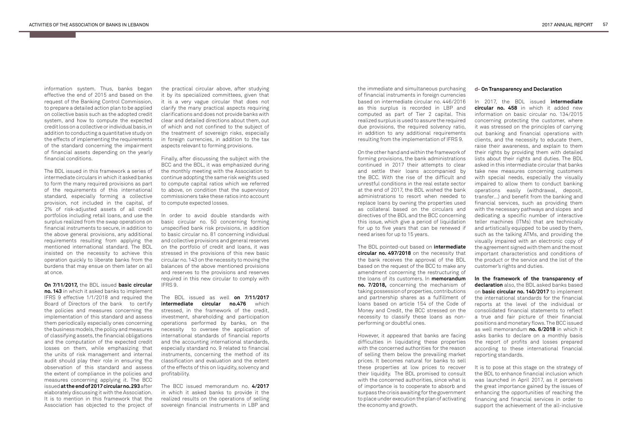In 2017, the BDL issued **intermediate circular no. 458** in which it added new information on basic circular no. 134/2015 concerning protecting the customer, where it was stressed on the principles of carrying out banking and financial operations with clients, and the necessity to educate them, raise their awareness, and explain to them their rights by providing them with detailed lists about their rights and duties. The BDL asked in this intermediate circular that banks take new measures concerning customers with special needs, especially the visually impaired to allow them to conduct banking operations easily (withdrawal, deposit, transfer…) and benefit from the banking and financial services, such as providing them with the necessary pathways and slopes and dedicating a specific number of interactive teller machines (ITMs) that are technically and artistically equipped to be used by them, such as the talking ATMs, and providing the visually impaired with an electronic copy of the agreement signed with them and the most important characteristics and conditions of the product or the service and the list of the customer's rights and duties.

**In the framework of the transparency of declaration** also, the BDL asked banks based on **basic circular no. 140/2017** to implement the international standards for the financial reports at the level of the individual or consolidated financial statements to reflect a true and fair picture of their financial positions and monetary flows. The BCC issued as well memorandum **no. 6/2018** in which it asks banks to declare on a monthly basis the report of profits and losses prepared according to these international financial reporting standards.

It is to pose at this stage on the strategy of the BDL to enhance financial inclusion which was launched in April 2017, as it perceives the great importance gained by the issues of enhancing the opportunities of reaching the financing and financial services in order to support the achievement of the all-inclusive

information system. Thus, banks began effective the end of 2015 and based on the request of the Banking Control Commission, to prepare a detailed action plan to be applied on collective basis such as the adopted credit system, and how to compute the expected credit loss on a collective or individual basis, in addition to conducting a quantitative study on the effects of implementing the requirements of the standard concerning the impairment of financial assets depending on the yearly financial conditions.

The BDL issued in this framework a series of intermediate circulars in which it asked banks to form the many required provisions as part of the requirements of this international standard, especially forming a collective provision, not included in the capital, of 2% of risk-adjusted assets of all credit portfolios including retail loans, and use the surplus realized from the swap operations on financial instruments to secure, in addition to the above general provisions, any additional requirements resulting from applying the mentioned international standard. The BDL insisted on the necessity to achieve this operation quickly to liberate banks from the burdens that may ensue on them later on all at once.

**On 7/11/2017,** the BDL issued **basic circular no. 143** in which it asked banks to implement IFRS 9 effective 1/1/2018 and required the Board of Directors of the bank to certify the policies and measures concerning the implementation of this standard and assess them periodically especially ones concerning the business models, the policy and measures of classifying assets, the financial obligations and the computation of the expected credit losses on them, while emphasizing that the units of risk management and internal audit should play their role in ensuring the observation of this standard and assess the extent of compliance in the policies and measures concerning applying it. The BCC issued **at the end of 2017 circular no. 293** after elaborately discussing it with the Association. It is to mention in this framework that the Association has objected to the project of

## **On Transparency and Declaration d-**

the practical circular above, after studying it by its specialized committees, given that it is a very vague circular that does not clarify the many practical aspects requiring clarifications and does not provide banks with clear and detailed directions about them, out of which and not confined to the subject of the treatment of sovereign risks, especially in foreign currencies, in addition to the tax aspects relevant to forming provisions.

Finally, after discussing the subject with the BCC and the BDL, it was emphasized during the monthly meeting with the Association to continue adopting the same risk weights used to compute capital ratios which we referred to above, on condition that the supervisory commissioners take these ratios into account to compute expected losses.

In order to avoid double standards with basic circular no. 50 concerning forming unspecified bank risk provisions, in addition to basic circular no. 81 concerning individual and collective provisions and general reserves on the portfolio of credit and loans, it was stressed in the provisions of this new basic circular no. 143 on the necessity to moving the balances of the above mentioned provisions and reserves to the provisions and reserves required in this new circular to comply with IFRS 9.

The BDL issued as well **on 7/11/2017 intermediate circular no.476** which stressed, in the framework of the credit, investment, shareholding and participation operations performed by banks, on the necessity to oversee the application of international standards of financial reports and the accounting international standards, especially standard no. 9 related to financial instruments, concerning the method of its classification and evaluation and the extent of the effects of this on liquidity, solvency and profitability.

The BCC issued memorandum no. **4/2017**  in which it asked banks to provide it the realized results on the operations of selling sovereign financial instruments in LBP and the immediate and simultaneous purchasing of financial instruments in foreign currencies based on intermediate circular no. 446/2016 as this surplus is recorded in LBP and computed as part of Tier 2 capital. This realized surplus is used to assure the required due provisions, the required solvency ratio, in addition to any additional requirements resulting from the implementation of IFRS 9.

On the other hand and within the framework of forming provisions, the bank administrations continued in 2017 their attempts to clear and settle their loans accompanied by the BCC. With the rise of the difficult and unrestful conditions in the real estate sector at the end of 2017, the BDL wished the bank administrations to resort when needed to replace loans by owning the properties used as collateral based on the circulars and directives of the BDL and the BCC concerning this issue, which give a period of liquidation for up to five years that can be renewed if need arises for up to 15 years.

The BDL pointed-out based on **intermediate circular no. 497/2018** on the necessity that the bank receives the approval of the BDL based on the request of the BCC to make any amendment concerning the restructuring of the loans of its customers. In **memorandum no. 7/2018,** concerning the mechanism of taking possession of properties, contributions and partnership shares as a fulfillment of loans based on article 154 of the Code of Money and Credit, the BCC stressed on the necessity to classify these loans as nonperforming or doubtful ones.

However, it appeared that banks are facing difficulties in liquidating these properties with the concerned authorities for the reason of selling them below the prevailing market prices. It becomes natural for banks to sell these properties at low prices to recover their liquidity. The BDL promised to consult with the concerned authorities, since what is of importance is to cooperate to absorb and surpass the crisis awaiting for the government to place under execution the plan of activating the economy and growth.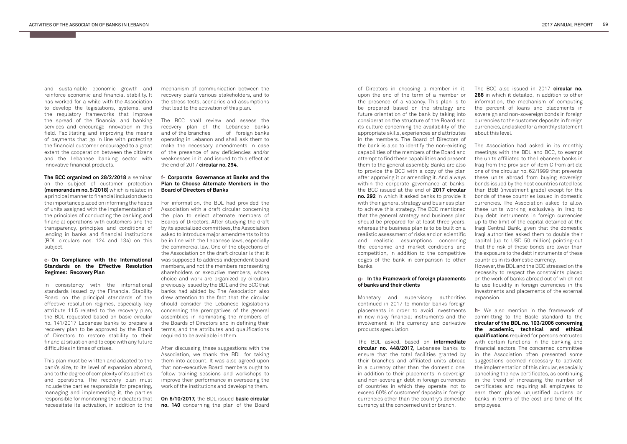and sustainable economic growth and reinforce economic and financial stability. It has worked for a while with the Association to develop the legislations, systems, and the regulatory frameworks that improve the spread of the financial and banking services and encourage innovation in this field. Facilitating and improving the means of payments that go in line with protecting the financial customer encouraged to a great extent the cooperation between the citizens and the Lebanese banking sector with innovative financial products.

**The BCC organized on 28/2/2018** a seminar on the subject of customer protection **(memorandum no. 5/2018)** which is related in a principal manner to financial inclusion due to the importance placed on informing the heads of units assigned with the implementation of the principles of conducting the banking and financial operations with customers and the transparency, principles and conditions of lending in banks and financial institutions (BDL circulars nos. 124 and 134) on this subject.

## **On Compliance with the International e-Standards on the Effective Resolution Regimes: Recovery Plan**

In consistency with the international standards issued by the Financial Stability Board on the principal standards of the effective resolution regimes, especially key attribute 11.5 related to the recovery plan, the BDL requested based on basic circular no. 141/2017 Lebanese banks to prepare a recovery plan to be approved by the Board of Directors to restore stability to their financial situation and to cope with any future difficulties in times of crises.

This plan must be written and adapted to the bank's size, to its level of expansion abroad, and to the degree of complexity of its activities and operations. The recovery plan must include the parties responsible for preparing, managing and implementing it, the parties responsible for monitoring the indicators that necessitate its activation, in addition to the

mechanism of communication between the recovery plan's various stakeholders, and to the stress tests, scenarios and assumptions that lead to the activation of this plan.

The BCC shall review and assess the recovery plan of the Lebanese banks and of the branches of foreign banks operating in Lebanon and shall ask them to make the necessary amendments in case of the presence of any deficiencies and/or weaknesses in it, and issued to this effect at the end of 2017 **circular no. 294.**

## **Corporate Governance at Banks and the f-Plan to Choose Alternate Members in the Board of Directors of Banks**

For information, the BDL had provided the Association with a draft circular concerning the plan to select alternate members of Boards of Directors. After studying the draft by its specialized committees, the Association asked to introduce major amendments to it to be in line with the Lebanese laws, especially the commercial law. One of the objections of the Association on the draft circular is that it was supposed to address independent board members, and not the members representing shareholders or executive members, whose choice and work are organized by circulars previously issued by the BDL and the BCC that banks had abided by. The Association also drew attention to the fact that the circular should consider the Lebanese legislations concerning the prerogatives of the general assemblies in nominating the members of the Boards of Directors and in defining their terms, and the attributes and qualifications required to be available in them.

After discussing these suggestions with the Association, we thank the BDL for taking them into account. It was also agreed upon that non-executive Board members ought to follow training sessions and workshops to improve their performance in overseeing the work of the institutions and developing them.

**On 6/10/2017,** the BDL issued **basic circular no. 140** concerning the plan of the Board of Directors in choosing a member in it, upon the end of the term of a member or the presence of a vacancy. This plan is to be prepared based on the strategy and future orientation of the bank by taking into consideration the structure of the Board and its culture concerning the availability of the appropriate skills, experiences and attributes in the members. The Board of Directors of the bank is also to identify the non-existing capabilities of the members of the Board and attempt to find these capabilities and present them to the general assembly. Banks are also to provide the BCC with a copy of the plan after approving it or amending it. And always within the corporate governance at banks, the BCC issued at the end of **2017 circular no. 292** in which it asked banks to provide it with their general strategy and business plan to achieve this strategy. The BCC mentioned that the general strategy and business plan should be prepared for at least three years, whereas the business plan is to be built on a realistic assessment of risks and on scientific and realistic assumptions concerning the economic and market conditions and competition, in addition to the competitive edges of the bank in comparison to other banks.

## **In the Framework of foreign placements gof banks and their clients**

Monetary and supervisory authorities continued in 2017 to monitor banks foreign placements in order to avoid investments in new risky financial instruments and the involvement in the currency and derivative products speculation.

The BDL asked, based on **intermediate circular no. 448/2017,** Lebanese banks to ensure that the total facilities granted by their branches and affiliated units abroad in a currency other than the domestic one, in addition to their placements in sovereign and non-sovereign debt in foreign currencies of countries in which they operate, not to exceed 60% of customers' deposits in foreign currencies other than the country's domestic currency at the concerned unit or branch.

The BCC also issued in 2017 **circular no. 288** in which it detailed, in addition to other information, the mechanism of computing the percent of loans and placements in sovereign and non-sovereign bonds in foreign currencies to the customer deposits in foreign currencies, and asked for a monthly statement about this level.

The Association had asked in its monthly meetings with the BDL and BCC, to exempt the units affiliated to the Lebanese banks in Iraq from the provision of item C from article one of the circular no. 62/1999 that prevents these units abroad from buying sovereign bonds issued by the host countries rated less than BBB (investment grade) except for the bonds of these countries issued in domestic currencies. The Association asked to allow these units working exclusively in Iraq to buy debt instruments in foreign currencies up to the limit of the capital detained at the Iraqi Central Bank, given that the domestic Iraqi authorities asked them to double their capital (up to USD 50 million) pointing-out that the risk of these bonds are lower than the exposure to the debt instruments of these countries in its domestic currency.

However, the BDL and the BCC stressed on the necessity to respect the constraints placed on the work of banks abroad out of which not to use liquidity in foreign currencies in the investments and placements of the external expansion.

 We also mention in the framework of **h**committing to the Basle standard to the **circular of the BDL no. 103/2006 concerning the academic, technical and ethical qualifications** required for persons entrusted with certain functions in the banking and financial sectors. The concerned committee in the Association often presented some suggestions deemed necessary to activate the implementation of this circular, especially cancelling the new certificates, as continuing in the trend of increasing the number of certificates and requiring all employees to earn them places unjustified burdens on banks in terms of the cost and time of the employees.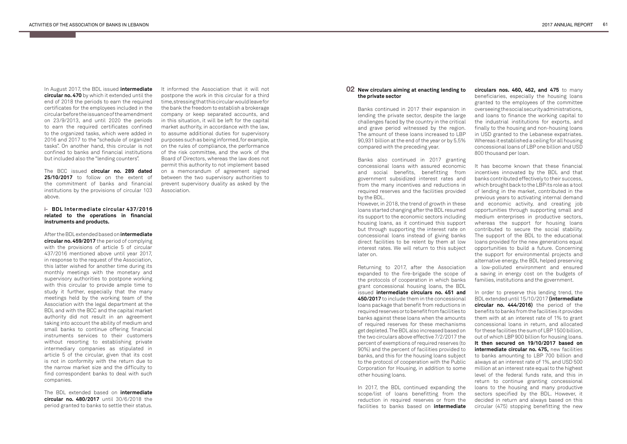In August 2017, the BDL issued **intermediate circular no. 470** by which it extended until the end of 2018 the periods to earn the required certificates for the employees included in the circular before the issuance of the amendment on 23/9/2013, and until 2020 the periods to earn the required certificates confined to the organized tasks, which were added in 2016 and 2017 to the "schedule of organized tasks". On another hand, this circular is not confined to banks and financial institutions but included also the "lending counters".

The BCC issued **circular no. 289 dated 25/10/2017** to follow on the extent of the commitment of banks and financial institutions by the provisions of circular 103 above.

### **BDL Intermediate circular 437/2016 irelated to the operations in financial instruments and products.**

After the BDL extended based on **intermediate circular no. 459/2017** the period of complying with the provisions of article 5 of circular 437/2016 mentioned above until year 2017, in response to the request of the Association, this latter wished for another time during its monthly meetings with the monetary and supervisory authorities to postpone working with this circular to provide ample time to study it further, especially that the many meetings held by the working team of the Association with the legal department at the BDL and with the BCC and the capital market authority did not result in an agreement taking into account the ability of medium and small banks to continue offering financial instruments services to their customers without resorting to establishing private intermediary companies as stipulated in article 5 of the circular, given that its cost is not in conformity with the return due to the narrow market size and the difficulty to find correspondent banks to deal with such companies.

The BDL extended based on **intermediate circular no. 480/2017** until 30/6/2018 the period granted to banks to settle their status.

It informed the Association that it will not postpone the work in this circular for a third time, stressing that this circular would leave for the bank the freedom to establish a brokerage company or keep separated accounts, and in this situation, it will be left for the capital market authority, in accordance with the law, to assume additional duties for supervisory purposes such as being informed, for example, on the rules of compliance, the performance of the risk committee, and the work of the Board of Directors, whereas the law does not permit this authority to not implement based on a memorandum of agreement signed between the two supervisory authorities to prevent supervisory duality as asked by the Association.

## **New circulars aiming at enacting lending to 02the private sector**

Banks continued in 2017 their expansion in lending the private sector, despite the large challenges faced by the country in the critical and grave period witnessed by the region. The amount of these loans increased to LBP 90,931 billion at the end of the year or by 5.5% compared with the preceding year.

Banks also continued in 2017 granting concessional loans with assured economic and social benefits, benefitting from government subsidized interest rates and from the many incentives and reductions in required reserves and the facilities provided by the BDL.

However, in 2018, the trend of growth in these loans started changing after the BDL resumed its support to the economic sectors including housing loans, as it continued this support but through supporting the interest rate on concessional loans instead of giving banks direct facilities to be relent by them at low interest rates. We will return to this subject later on.

Returning to 2017, after the Association expanded to the fire-brigade the scope of the protocols of cooperation in which banks grant concessional housing loans, the BDL issued **intermediate circulars no. 451 and 450/2017** to include them in the concessional loans package that benefit from reductions in required reserves or to benefit from facilities to banks against these loans when the amounts of required reserves for these mechanisms get depleted. The BDL also increased based on the two circulars above effective 7/2/2017 the percent of exemptions of required reserves (to 90%) and the percent of facilities provided to banks, and this for the housing loans subject to the protocol of cooperation with the Public Corporation for Housing, in addition to some other housing loans.

In 2017, the BDL continued expanding the scope/list of loans benefitting from the reduction in required reserves or from the facilities to banks based on **intermediate** 

**circulars nos. 460, 462, and 475** to many beneficiaries, especially the housing loans granted to the employees of the committee overseeing the social security administrations, and loans to finance the working capital to the industrial institutions for exports, and finally to the housing and non-housing loans in USD granted to the Lebanese expatriates. Whereas it established a ceiling for all housing concessional loans of LBP one billion and USD 800 thousand per loan.

It has become known that these financial incentives innovated by the BDL and that banks contributed effectively to their success, which brought back to the LBP its role as a tool of lending in the market, contributed in the previous years to activating internal demand and economic activity, and creating job opportunities through supporting small and medium enterprises in productive sectors, whereas the support for housing loans contributed to secure the social stability. The support of the BDL to the educational loans provided for the new generations equal opportunities to build a future. Concerning the support for environmental projects and alternative energy, the BDL helped preserving a low-polluted environment and ensured a saving in energy cost on the budgets of families, institutions and the government.

In order to preserve this lending trend, the BDL extended until 15/10/2017 **(intermediate circular no. 444/2016)** the period of the benefits to banks from the facilities it provides them with at an interest rate of 1% to grant concessional loans in return, and allocated for these facilities the sum of LBP 1500 billion, out of which LBP 900 billion for housing loans. **It then secured on 19/10/2017 based on intermediate circular no. 475,** new facilities to banks amounting to LBP 700 billion and always at an interest rate of 1%, and USD 500 million at an interest rate equal to the highest level of the federal funds rate, and this in return to continue granting concessional loans to the housing and many productive sectors specified by the BDL. However, it decided in return and always based on this circular (475) stopping benefitting the new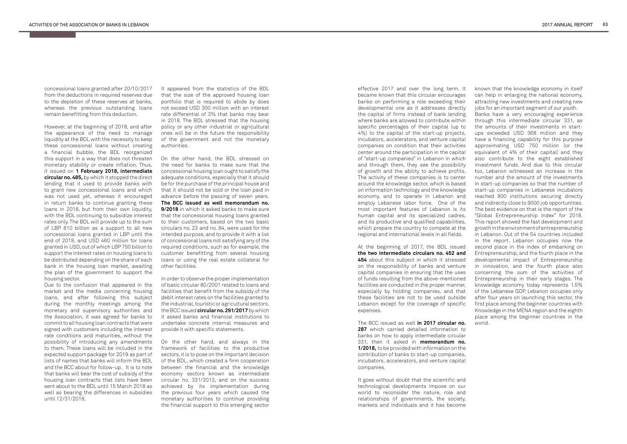concessional loans granted after 20/10/2017 from the deductions in required reserves due to the depletion of these reserves at banks, whereas the previous outstanding loans remain benefitting from this deduction.

However, at the beginning of 2018, and after the appearance of the need to manage liquidity at the BDL with the necessity to keep these concessional loans without creating a financial bubble, the BDL reorganized this support in a way that does not threaten monetary stability or create inflation. Thus, it issued on **1 February 2018, intermediate circular no. 485,** by which it stopped the direct lending that it used to provide banks with to grant new concessional loans and which was not used yet, whereas it encouraged in return banks to continue granting these loans in 2018, but from their own liquidity, with the BDL continuing to subsidize interest rates only. The BDL will provide up to the sum of LBP 810 billion as a support to all new concessional loans granted in LBP until the end of 2018, and USD 460 million for loans granted in USD, out of which LBP 750 billion to support the interest rates on housing loans to be distributed depending on the share of each bank in the housing loan market, awaiting the plan of the government to support the housing sector.

Due to the confusion that appeared in the market and the media concerning housing loans, and after following this subject during the monthly meetings among the monetary and supervisory authorities and the Association, it was agreed for banks to commit to all housing loan contracts that were signed with customers including the interest rate conditions and maturities, without the possibility of introducing any amendments to them. These loans will be included in the expected support package for 2019 as part of lists of names that banks will inform the BDL and the BCC about for follow-up. It is to note that banks will bear the cost of subsidy of the housing loan contracts that lists have been sent about to the BDL until 15 March 2018 as well as bearing the differences in subsidies until 12/31/2018.

It appeared from the statistics of the BDL that the size of the approved housing loan portfolio that is required to abide by does not exceed USD 300 million with an interest rate differential of 3% that banks may bear in 2018. The BDL stressed that the housing policy or any other industrial or agricultural ones will be in the future the responsibility of the government and not the monetary authorities.

On the other hand, the BDL stressed on the need for banks to make sure that the concessional housing loan ought to satisfy the adequate conditions, especially that it should be for the purchase of the principal house and that it should not be sold or the loan paid in advance before the passing of seven years. **The BCC issued as well memorandum no. 9/2018** in which it asked banks to make sure that the concessional housing loans granted to their customers, based on the two basic circulars no. 23 and no. 84, were used for the intended purpose, and to provide it with a list of concessional loans not satisfying any of the required conditions, such as for example, the customer benefitting from several housing loans or using the real estate collateral for other facilities.

In order to observe the proper implementation of basic circular 80/2001 related to loans and facilities that benefit from the subsidy of the debit interest rates on the facilities granted to the industrial, touristic or agricultural sectors, the BCC issued **circular no. 291/2017** by which it asked banks and financial institutions to undertake concrete internal measures and provide it with specific statements.

On the other hand, and always in the framework of facilities to the productive sectors, it is to pose on the important decision of the BDL, which created a firm cooperation between the financial and the knowledge economy sectors known as intermediate circular no. 331/2013, and on the success achieved by its implementation during the previous four years which caused the monetary authorities to continue providing the financial support to this emerging sector effective 2017 and over the long term. It became known that this circular encourages banks on performing a role exceeding their developmental one as it addresses directly the capital of firms instead of bank lending where banks are allowed to contribute within specific percentages of their capital (up to 4%) to the capital of the start-up projects, incubators, accelerators, and venture capital companies on condition that their activities center around the participation in the capital of "start-up companies" in Lebanon in which and through them, they see the possibility of growth and the ability to achieve profits. The activity of these companies is to center around the knowledge sector, which is based on information technology and the knowledge economy, and to operate in Lebanon and employ Lebanese labor force. One of the most important features of Lebanon is its human capital and its specialized cadres, and its productive and qualified capabilities, which prepare the country to compete at the regional and international levels in all fields.

At the beginning of 2017, the BDL issued **the two intermediate circulars no. 452 and 454** about this subject in which it stressed on the responsibility of banks and venture capital companies in ensuring that the uses of funds resulting from the above-mentioned facilities are conducted in the proper manner, especially by holding companies, and that these facilities are not to be used outside Lebanon except for the coverage of specific expenses.

The BCC issued as well **in 2017 circular no. 287** which carried detailed information to banks on how to apply intermediate circular 331, then it asked in **memorandum no. 1/2018,** to be provided with information on the contribution of banks to start-up companies, incubators, accelerators, and venture capital companies.

It goes without doubt that the scientific and technological developments impose on our world to reconsider the nature, role and relationships of governments, the society, markets and individuals and it has become

known that the knowledge economy in itself can help in enlarging the national economy, attracting new investments and creating new jobs for an important segment of our youth.

Banks have a very encouraging experience through this intermediate circular 331, as the amounts of their investments in startups exceeded USD 368 million and they have a financing capability for this purpose approximating USD 750 million (or the equivalent of 4% of their capital) and they also contribute to the eight established investment funds. And due to this circular too, Lebanon witnessed an increase in the number and the amount of the investments in start-up companies so that the number of start-up companies in Lebanese incubators reached 800 institutions securing directly and indirectly close to 9000 job opportunities. The best evidence on that is the report of the "Global Entrepreneurship Index" for 2018. This report showed the fast development and growth in the environment of entrepreneurship in Lebanon. Out of the 54 countries included in the report, Lebanon occupies now the second place in the index of embarking on Entrepreneurship, and the fourth place in the developmental impact of Entrepreneurship in innovation, and the fourth place also concerning the sum of the activities of Entrepreneurship in their early stages. The knowledge economy today represents 1.5% of the Lebanese GDP. Lebanon occupies only after four years on launching this sector, the first place among the beginner countries with Knowledge in the MENA region and the eighth place among the beginner countries in the world.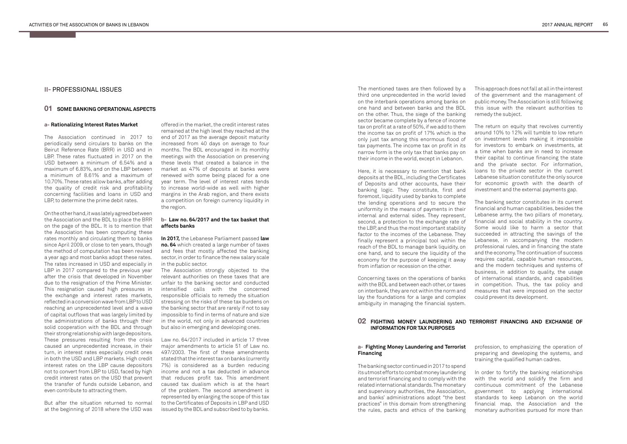## **II-** PROFESSIONAL ISSUES

The Association continued in 2017 to periodically send circulars to banks on the Beirut Reference Rate (BRR) in USD and in LBP. These rates fluctuated in 2017 on the USD between a minimum of 6.54% and a maximum of 6.83%, and on the LBP between a minimum of 8.61% and a maximum of 10.70%. These rates allow banks, after adding the quality of credit risk and profitability concerning facilities and loans in USD and LBP, to determine the prime debit rates.

## **SOME BANKING OPERATIONAL ASPECTS 01**

## **FIGHTING MONEY LAUNDERING AND TERRORIST FINANCING AND EXCHANGE OF 02 INFORMATION FOR TAX PURPOSES**

## **a- Rationalizing Interest Rates Market**

On the other hand, it was lately agreed between the Association and the BDL to place the BRR on the page of the BDL. It is to mention that the Association has been computing these rates monthly and circulating them to banks since April 2009, or close to ten years, though the method of computation has been revised a year ago and most banks adopt these rates. The rates increased in USD and especially in LBP in 2017 compared to the previous vear after the crisis that developed in November due to the resignation of the Prime Minister. This resignation caused high pressures in the exchange and interest rates markets, reflected in a conversion wave from LBP to USD reaching an unprecedented level and a wave of capital outflows that was largely limited by the administrations of banks through their solid cooperation with the BDL and through their strong relationship with large depositors. These pressures resulting from the crisis caused an unprecedented increase, in their turn, in interest rates especially credit ones in both the USD and LBP markets. High credit interest rates on the LBP cause depositors not to convert from LBP to USD, faced by high credit interest rates on the USD that prevent the transfer of funds outside Lebanon, and even contribute to attracting them.

### **b- Law no. 64/2017 and the tax basket that affects banks**

But after the situation returned to normal at the beginning of 2018 where the USD was

offered in the market, the credit interest rates remained at the high level they reached at the end of 2017 as the average deposit maturity increased from 40 days on average to four months. The BDL encouraged in its monthly meetings with the Association on preserving these levels that created a balance in the market as 47% of deposits at banks were renewed with some being placed for a one year term. The level of interest rates tends to increase world-wide as well with higher margins in the Arab region, and there exists a competition on foreign currency liquidity in the region.

## **a- Fighting Money Laundering and Terrorist Financing**

**In 2017,** the Lebanese Parliament passed **law no. 64** which created a large number of taxes and fees that mostly affected the banking sector, in order to finance the new salary scale in the public sector.

The Association strongly objected to the relevant authorities on these taxes that are unfair to the banking sector and conducted intensified calls with the concerned responsible officials to remedy the situation stressing on the risks of these tax burdens on the banking sector that are rarely if not to say impossible to find in terms of nature and size in the world, not only in advanced countries but also in emerging and developing ones.

Law no. 64/2017 included in article 17 three major amendments to article 51 of Law no. 497/2003. The first of these amendments stated that the interest tax on banks (currently 7%) is considered as a burden reducing income and not a tax deducted in advance that reduces profit tax. This amendment caused tax dualism which is at the heart of the problem. The second amendment is represented by enlarging the scope of this tax to the Certificates of Deposits in LBP and USD issued by the BDL and subscribed to by banks.

The mentioned taxes are then followed by a third one unprecedented in the world levied on the interbank operations among banks on one hand and between banks and the BDL on the other. Thus, the siege of the banking sector became complete by a fence of income tax on profit at a rate of 50%, if we add to them the income tax on profit of 17% which is the only just tax among this enormous flood of tax payments. The income tax on profit in its narrow form is the only tax that banks pay on their income in the world, except in Lebanon.

Here, it is necessary to mention that bank deposits at the BDL, including the Certificates of Deposits and other accounts, have their banking logic. They constitute, first and foremost, liquidity used by banks to complete the lending operations and to secure the uniformity in the means of payments in their internal and external sides. They represent, second, a protection to the exchange rate of the LBP, and thus the most important stability factor to the incomes of the Lebanese. They finally represent a principal tool within the reach of the BDL to manage bank liquidity, on one hand, and to secure the liquidity of the economy for the purpose of keeping it away from inflation or recession on the other.

Concerning taxes on the operations of banks with the BDL and between each other, or taxes on interbank, they are not within the norm and lay the foundations for a large and complex ambiguity in managing the financial system.

The banking sector continued in 2017 to spend its utmost efforts to combat money laundering and terrorist financing and to comply with the related international standards. The monetary and supervisory authorities, the Association, and banks' administrations adopt "the best practices" in this domain from strengthening the rules, pacts and ethics of the banking

profession, to emphasizing the operation of preparing and developing the systems, and training the qualified human cadres.

In order to fortify the banking relationships with the world and solidify the firm and continuous commitment of the Lebanese government to applying international standards to keep Lebanon on the world financial map, the Association and the monetary authorities pursued for more than

This approach does not fall at all in the interest of the government and the management of public money. The Association is still following this issue with the relevant authorities to remedy the subject.

The return on equity that revolves currently around 10% to 12% will tumble to low return on investment levels making it impossible for investors to embark on investments, at a time when banks are in need to increase their capital to continue financing the state and the private sector. For information, loans to the private sector in the current Lebanese situation constitute the only source for economic growth with the dearth of investment and the external payments gap.

The banking sector constitutes in its current financial and human capabilities, besides the Lebanese army, the two pillars of monetary, financial and social stability in the country. Some would like to harm a sector that succeeded in attracting the savings of the Lebanese, in accompanying the modern professional rules, and in financing the state and the economy. The continuation of success requires capital, capable human resources, and the modern techniques and systems of business, in addition to quality, the usage of international standards, and capabilities in competition. Thus, the tax policy and measures that were imposed on the sector could prevent its development.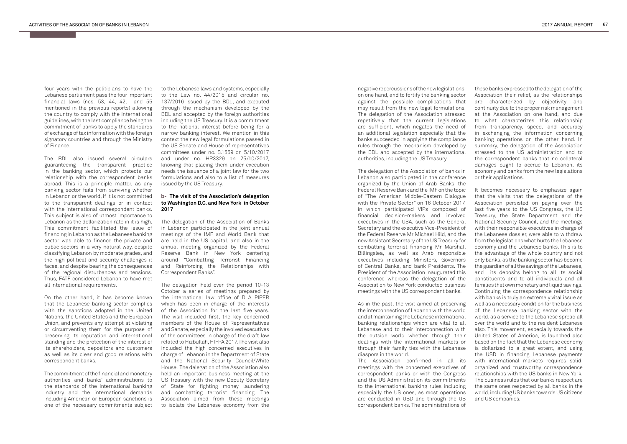four years with the politicians to have the Lebanese parliament pass the four important financial laws (nos. 53, 44, 42, and 55 mentioned in the previous reports) allowing the country to comply with the international guidelines, with the last compliance being the commitment of banks to apply the standards of exchange of tax information with the foreign signatory countries and through the Ministry of Finance.

The BDL also issued several circulars guaranteeing the transparent practice in the banking sector, which protects our relationship with the correspondent banks abroad. This is a principle matter, as any banking sector fails from surviving whether in Lebanon or the world, if it is not committed to the transparent dealings or in contact with the international correspondent banks. This subject is also of utmost importance to Lebanon as the dollarization rate in it is high. This commitment facilitated the issue of financing in Lebanon as the Lebanese banking sector was able to finance the private and public sectors in a very natural way, despite classifying Lebanon by moderate grades, and the high political and security challenges it faces, and despite bearing the consequences of the regional disturbances and tensions. Thus, FATF considered Lebanon to have met all international requirements.

On the other hand, it has become known that the Lebanese banking sector complies with the sanctions adopted in the United Nations, the United States and the European Union, and prevents any attempt at violating or circumventing them for the purpose of preserving its reputation and international standing and the protection of the interest of its shareholders, depositors and customers as well as its clear and good relations with correspondent banks.

The commitment of the financial and monetary authorities and banks' administrations to the standards of the international banking industry and the international demands including American or European sanctions is one of the necessary commitments subject to the Lebanese laws and systems, especially to the Law no. 44/2015 and circular no. 137/2016 issued by the BDL, and executed through the mechanism developed by the BDL and accepted by the foreign authorities including the US Treasury. It is a commitment to the national interest before being for a narrow banking interest. We mention in this context the new legal formulations passed in the US Senate and House of representatives committees under no. S.1559 on 5/10/2017 and under no. HR3329 on 25/10/2017, knowing that placing them under execution needs the issuance of a joint law for the two formulations and also to a list of measures issued by the US Treasury.

## **The visit of the Association's delegation bto Washington D.C. and New York in October 2017**

The delegation of the Association of Banks in Lebanon participated in the joint annual meetings of the IMF and World Bank that are held in the US capital, and also in the annual meeting organized by the Federal Reserve Bank in New York centering around "Combatting Terrorist Financing and Reinforcing the Relationships with Correspondent Banks".

The delegation held over the period 10-13 October a series of meetings prepared by the international law office of DLA PIPER which has been in charge of the interests of the Association for the last five years. The visit included first, the key concerned members of the House of Representatives and Senate, especially the involved executives of the committees in charge of the draft law related to Hizbullah, HIFPA 2017. The visit also included the high concerned executives in charge of Lebanon in the Department of State and the National Security Council/White House. The delegation of the Association also held an important business meeting at the US Treasury with the new Deputy Secretary of State for fighting money laundering and combatting terrorist financing. The Association aimed from these meetings to isolate the Lebanese economy from the

It becomes necessary to emphasize again that the visits that the delegations of the Association persisted on paying over the last five years to the US Congress, the US Treasury, the State Department and the National Security Council, and the meetings with their responsible executives in charge of the Lebanese dossier, were able to withdraw from the legislations what hurts the Lebanese economy and the Lebanese banks. This is to the advantage of the whole country and not only banks, as the banking sector has become the guardian of all the savings of the Lebanese, and its deposits belong to all its social constituents and to all individuals and all families that own monetary and liquid savings. Continuing the correspondence relationship with banks is truly an extremely vital issue as well as a necessary condition for the business of the Lebanese banking sector with the world, as a service to the Lebanese spread all over the world and to the resident Lebanese also. This movement, especially towards the United States of America, is launched also based on the fact that the Lebanese economy is dollarized to a great extent, and using the USD in financing Lebanese payments with international markets requires solid. organized and trustworthy correspondence relationships with the US banks in New York. The business rules that our banks respect are the same ones respected by all banks in the world, including US banks towards US citizens and US companies.

negative repercussions of the new legislations, on one hand, and to fortify the banking sector against the possible complications that may result from the new legal formulations. The delegation of the Association stressed repetitively that the current legislations are sufficient, which negates the need of an additional legislation especially that the banks succeeded in applying the compliance rules through the mechanism developed by the BDL and accepted by the international authorities, including the US Treasury.

The delegation of the Association of banks in Lebanon also participated in the conference organized by the Union of Arab Banks, the Federal Reserve Bank and the IMF on the topic of "The American Middle-Eastern Dialogue with the Private Sector" on 16 October 2017, in which participated VIPs composed of financial decision-makers and involved executives in the USA, such as the General Secretary and the executive Vice-President of the Federal Reserve Mr Michael Hild, and the new Assistant Secretary of the US Treasury for combatting terrorist financing Mr Marshall Billingslea, as well as Arab responsible executives including Ministers, Governors of Central Banks, and bank Presidents. The President of the Association inaugurated this conference whereas the delegation of the Association to New York conducted business meetings with the US correspondent banks.

As in the past, the visit aimed at preserving the interconnection of Lebanon with the world and at maintaining the Lebanese international banking relationships which are vital to all Lebanese and to their interconnection with the outside world whether through their dealings with the international markets or through their family ties with the Lebanese diaspora in the world.

The Association confirmed in all its meetings with the concerned executives of correspondent banks or with the Congress and the US Administration its commitments to the international banking rules including especially the US ones, as most operations are conducted in USD and through the US correspondent banks. The administrations of

these banks expressed to the delegation of the Association their relief, as the relationships are characterized by objectivity and continuity due to the proper risk management at the Association on one hand, and due to what characterizes this relationship from transparency, speed, and accuracy in exchanging the information concerning banking operations on the other hand. In summary, the delegation of the Association stressed to the US administration and to the correspondent banks that no collateral damages ought to accrue to Lebanon, its economy and banks from the new legislations or their applications.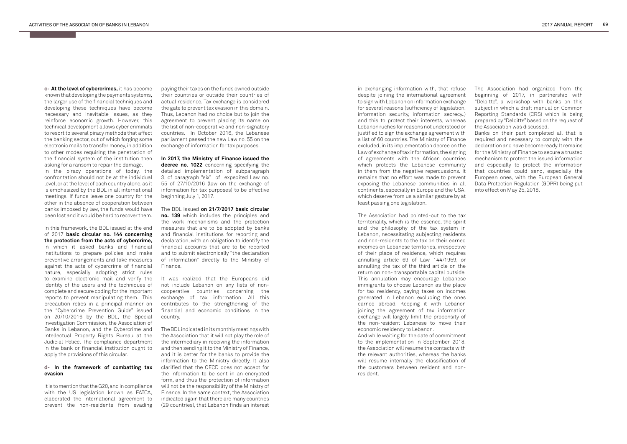**At the level of cybercrimes,** it has become **c**known that developing the payments systems, the larger use of the financial techniques and developing these techniques have become necessary and inevitable issues, as they reinforce economic growth. However, this technical development allows cyber criminals to resort to several piracy methods that affect the banking sector, out of which forging some electronic mails to transfer money, in addition to other modes requiring the penetration of the financial system of the institution then asking for a ransom to repair the damage.

In the piracy operations of today, the confrontation should not be at the individual level, or at the level of each country alone, as it is emphasized by the BDL in all international meetings. If funds leave one country for the other in the absence of cooperation between banks imposed by law, the funds would have been lost and it would be hard to recover them.

In this framework, the BDL issued at the end of 2017 **basic circular no. 144 concerning the protection from the acts of cybercrime,**  in which it asked banks and financial institutions to prepare policies and make preventive arrangements and take measures against the acts of cybercrime of financial nature, especially adopting strict rules to examine electronic mail and verify the identity of the users and the techniques of complete and secure coding for the important reports to prevent manipulating them. This precaution relies in a principal manner on the "Cybercrime Prevention Guide" issued on 20/10/2016 by the BDL, the Special Investigation Commission, the Association of Banks in Lebanon, and the Cybercrime and Intellectual Property Rights Bureau at the Judicial Police. The compliance department in the bank or financial institution ought to apply the provisions of this circular.

## **In the framework of combatting tax devasion**

It is to mention that the G20, and in compliance with the US legislation known as FATCA, elaborated the international agreement to prevent the non-residents from evading

paying their taxes on the funds owned outside their countries or outside their countries of actual residence. Tax exchange is considered the gate to prevent tax evasion in this domain. Thus, Lebanon had no choice but to join the agreement to prevent placing its name on the list of non-cooperative and non-signatory countries. In October 2016, the Lebanese parliament passed the new Law no. 55 on the exchange of information for tax purposes.

**In 2017, the Ministry of Finance issued the**  decree no. 1022 concerning specifying the detailed implementation of subparagraph 3, of paragraph "six" of expedited Law no. 55 of 27/10/2016 (law on the exchange of information for tax purposes) to be effective beginning July 1, 2017.

The BDL issued **on 21/7/2017 basic circular no. 139** which includes the principles and the work mechanisms and the protection measures that are to be adopted by banks and financial institutions for reporting and declaration, with an obligation to identify the financial accounts that are to be reported and to submit electronically "the declaration of information" directly to the Ministry of Finance.

It was realized that the Europeans did not include Lebanon on any lists of noncooperative countries concerning the exchange of tax information. All this contributes to the strengthening of the financial and economic conditions in the country.

The BDL indicated in its monthly meetings with the Association that it will not play the role of the intermediary in receiving the information and then sending it to the Ministry of Finance, and it is better for the banks to provide the information to the Ministry directly. It also clarified that the OECD does not accept for the information to be sent in an encrypted form, and thus the protection of information will not be the responsibility of the Ministry of Finance. In the same context, the Association indicated again that there are many countries (29 countries), that Lebanon finds an interest in exchanging information with, that refuse despite joining the international agreement to sign with Lebanon on information exchange for several reasons (sufficiency of legislation, information security, information secrecy..) and this to protect their interests, whereas Lebanon ruches for reasons not understood or justified to sign the exchange agreement with a list of 60 countries. The Ministry of Finance excluded, in its implementation decree on the Law of exchange of tax information, the signing of agreements with the African countries which protects the Lebanese community in them from the negative repercussions. It remains that no effort was made to prevent exposing the Lebanese communities in all continents, especially in Europe and the USA, which deserve from us a similar gesture by at least passing one legislation.

The Association had pointed-out to the tax territoriality, which is the essence, the spirit and the philosophy of the tax system in Lebanon, necessitating subjecting residents and non-residents to the tax on their earned incomes on Lebanese territories, irrespective of their place of residence, which requires annulling article 69 of Law 144/1959, or annulling the tax of the third article on the return on non- transportable capital outside. This annulation may encourage Lebanese immigrants to choose Lebanon as the place for tax residency, paying taxes on incomes generated in Lebanon excluding the ones earned abroad. Keeping it with Lebanon joining the agreement of tax information exchange will largely limit the propensity of the non-resident Lebanese to move their economic residency to Lebanon.

And while waiting for the date of commitment to the implementation in September 2018, the Association will resume the contacts with the relevant authorities, whereas the banks will resume internally the classification of the customers between resident and nonresident.

The Association had organized from the beginning of 2017, in partnership with "Deloitte", a workshop with banks on this subject in which a draft manual on Common Reporting Standards (CRS) which is being prepared by "Deloitte" based on the request of the Association was discussed.

Banks on their part completed all that is required and necessary to comply with the declaration and have become ready. It remains for the Ministry of Finance to secure a trusted mechanism to protect the issued information and especially to protect the information that countries could send, especially the European ones, with the European General Data Protection Regulation (GDPR) being put into effect on May 25, 2018.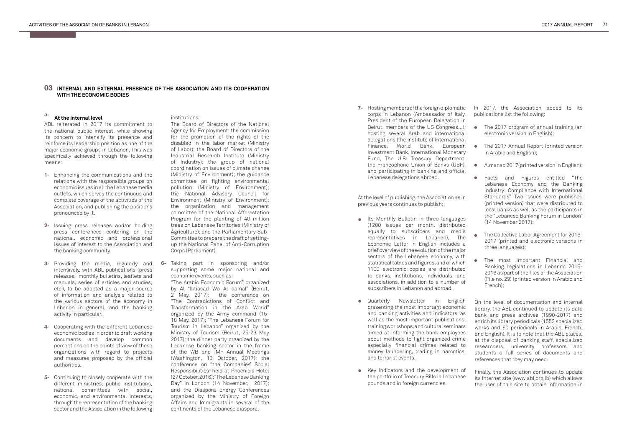## **INTERNAL AND EXTERNAL PRESENCE OF THE ASSOCIATION AND ITS COOPERATION 03 WITH THE ECONOMIC BODIES**

#### **a-At the internal level**

ABL reiterated in 2017 its commitment to the national public interest, while showing its concern to intensify its presence and reinforce its leadership position as one of the major economic groups in Lebanon. This was specifically achieved through the following means:

> On the level of documentation and internal library, the ABL continued to update its data bank and press archives (1990-2017) and enrich its library periodicals (1553 specialized works and 60 periodicals in Arabic, French, and English). It is to note that the ABL places, at the disposal of banking staff, specialized researchers, university professors and students a full series of documents and references that they may need.

> Finally, the Association continues to update its Internet site (www.abl.org.lb) which allows the user of this site to obtain information in

- Its Monthly Bulletin in three languages<br> **•** (1999 issues are result distributed (1200 issues per month, distributed equally to subscribers and media representatives in Lebanon), The Economic Letter in English includes a brief overview of the evolution of the major sectors of the Lebanese economy, with statistical tables and figures, and of which 1100 electronic copies are distributed to banks, institutions, individuals, and associations, in addition to a number of subscribers in Lebanon and abroad.
- Quarterly Newsletter in English **•** presenting the most important economic and banking activities and indicators, as well as the most important publications, training workshops, and cultural seminars aimed at informing the bank employees about methods to fight organized crime especially financial crimes related to money laundering, trading in narcotics, and terrorist events.
- Key Indicators and the development of the portfolio of Treasury Bills in Lebanese pounds and in foreign currencies.

At the level of publishing, the Association as in previous years continues to publish:

- **1-** Enhancing the communications and the relations with the responsible groups on economic issues in all the Lebanese media outlets, which serves the continuous and complete coverage of the activities of the Association, and publishing the positions pronounced by it.
- **2-** Issuing press releases and/or holding press conferences centering on the national, economic and professional issues of interest to the Association and the banking community.
- **6- 3-** Providing the media, regularly and Taking part in sponsoring and/or intensively, with ABL publications (press releases, monthly bulletins, leaflets and manuals, series of articles and studies, etc.), to be adopted as a major source of information and analysis related to the various sectors of the economy in Lebanon in general, and the banking activity in particular.
- **4-** Cooperating with the different Lebanese economic bodies in order to draft working documents and develop common perceptions on the points of view of these organizations with regard to projects and measures proposed by the official authorities.
- **5-** Continuing to closely cooperate with the different ministries, public institutions, national committees with social, economic, and environmental interests, through the representation of the banking sector and the Association in the following

In 2017, the Association added to its publications list the following:

**7-** Hosting members of the foreign diplomatic corps in Lebanon (Ambassador of Italy, President of the European Delegation in Beirut, members of the US Congress…); hosting several Arab and international delegations (the Institute of International Finance, World Bank, European Investment Bank, International Monetary Fund, The U.S. Treasury Department, the Francophone Union of Banks (UBF), and participating in banking and official Lebanese delegations abroad.

## institutions:

The Board of Directors of the National Agency for Employment; the commission for the promotion of the rights of the disabled in the labor market (Ministry of Labor); the Board of Directors of the Industrial Research Institute (Ministry of Industry); the group of national coordination on issues of climate change (Ministry of Environment); the guidance committee on fighting environmental pollution (Ministry of Environment); the National Advisory Council for Environment (Ministry of Environment); the organization and management committee of the National Afforestation Program for the planting of 40 million trees on Lebanese Territories (Ministry of Agriculture); and the Parliamentary Sub-Committee to prepare the draft of settingup the National Panel of Anti-Corruption Corps (Parliament).

supporting some major national and economic events, such as: "The Arabic Economic Forum", organized by Al "Iktissad Wa Al aamal" (Beirut, 2 May, 2017); the conference on "The Contradictions of Conflict and Transformation in the Arab World" organized by the Army command (15- 18 May, 2017); "The Lebanese Forum for Tourism in Lebanon" organized by the Ministry of Tourism (Beirut, 25-26 May 2017); the dinner party organized by the Lebanese banking sector in the frame of the WB and IMF Annual Meetings (Washington, 13 October, 2017); the conference on "the Companies' Social Responsibilities" held at Phoenicia Hotel (27 October, 2016); "The Lebanese Banking Day" in London (14 November, 2017); and the Diaspora Energy Conferences organized by the Ministry of Foreign Affairs and Immigrants in several of the continents of the Lebanese diaspora.

- The 2017 program of annual training (an **•** electronic version in English);
- The 2017 Annual Report (printed version **•** in Arabic and English);
- Almanac 2017(printed version in English); **•**
- Facts and Figures entitled "The **•** Lebanese Economy and the Banking Industry: Compliance with International Standards". Two issues were published (printed version) that were distributed to local banks as well as the participants in the "Lebanese Banking Forum in London" (14 November 2017);
- The Collective Labor Agreement for 2016- 2017 (printed and electronic versions in three languages); **•**
- The most Important Financial and Banking Legislations in Lebanon 2015- 2016 as part of the files of the Association (File no. 29) (printed version in Arabic and French);